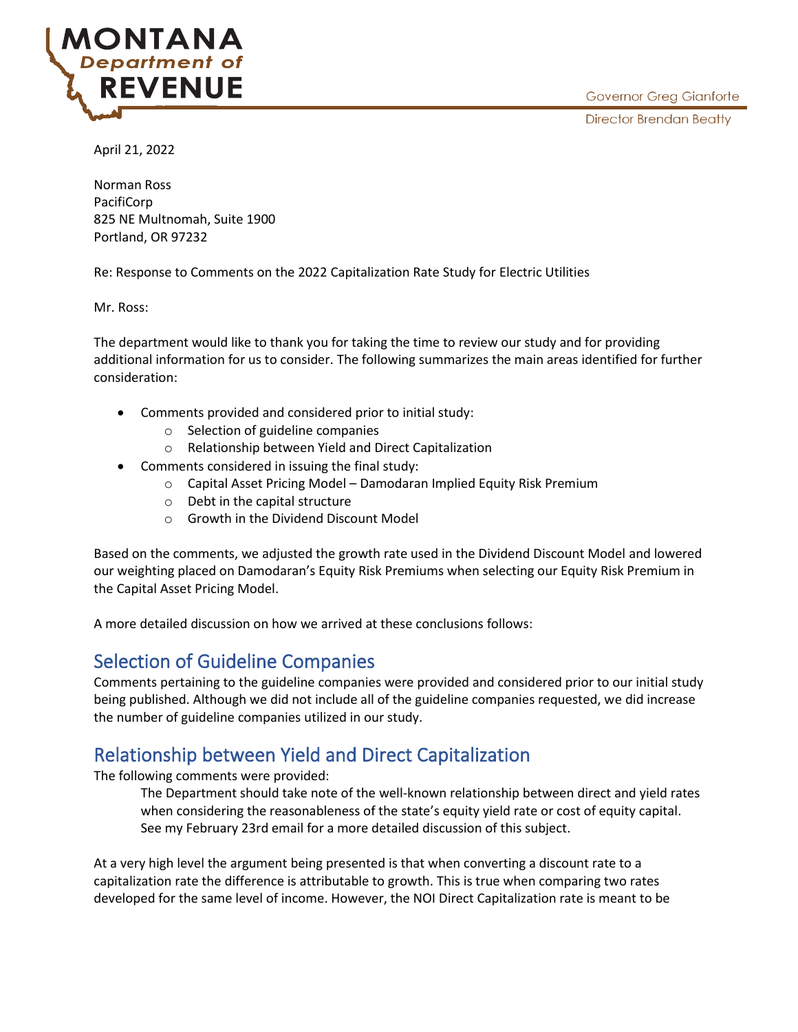

April 21, 2022

Norman Ross PacifiCorp 825 NE Multnomah, Suite 1900 Portland, OR 97232

Re: Response to Comments on the 2022 Capitalization Rate Study for Electric Utilities

Mr. Ross:

The department would like to thank you for taking the time to review our study and for providing additional information for us to consider. The following summarizes the main areas identified for further consideration:

- Comments provided and considered prior to initial study:
	- o Selection of guideline companies
	- o Relationship between Yield and Direct Capitalization
- Comments considered in issuing the final study:
	- o Capital Asset Pricing Model Damodaran Implied Equity Risk Premium
	- o Debt in the capital structure
	- o Growth in the Dividend Discount Model

Based on the comments, we adjusted the growth rate used in the Dividend Discount Model and lowered our weighting placed on Damodaran's Equity Risk Premiums when selecting our Equity Risk Premium in the Capital Asset Pricing Model.

A more detailed discussion on how we arrived at these conclusions follows:

# Selection of Guideline Companies

Comments pertaining to the guideline companies were provided and considered prior to our initial study being published. Although we did not include all of the guideline companies requested, we did increase the number of guideline companies utilized in our study.

# Relationship between Yield and Direct Capitalization

The following comments were provided:

The Department should take note of the well-known relationship between direct and yield rates when considering the reasonableness of the state's equity yield rate or cost of equity capital. See my February 23rd email for a more detailed discussion of this subject.

At a very high level the argument being presented is that when converting a discount rate to a capitalization rate the difference is attributable to growth. This is true when comparing two rates developed for the same level of income. However, the NOI Direct Capitalization rate is meant to be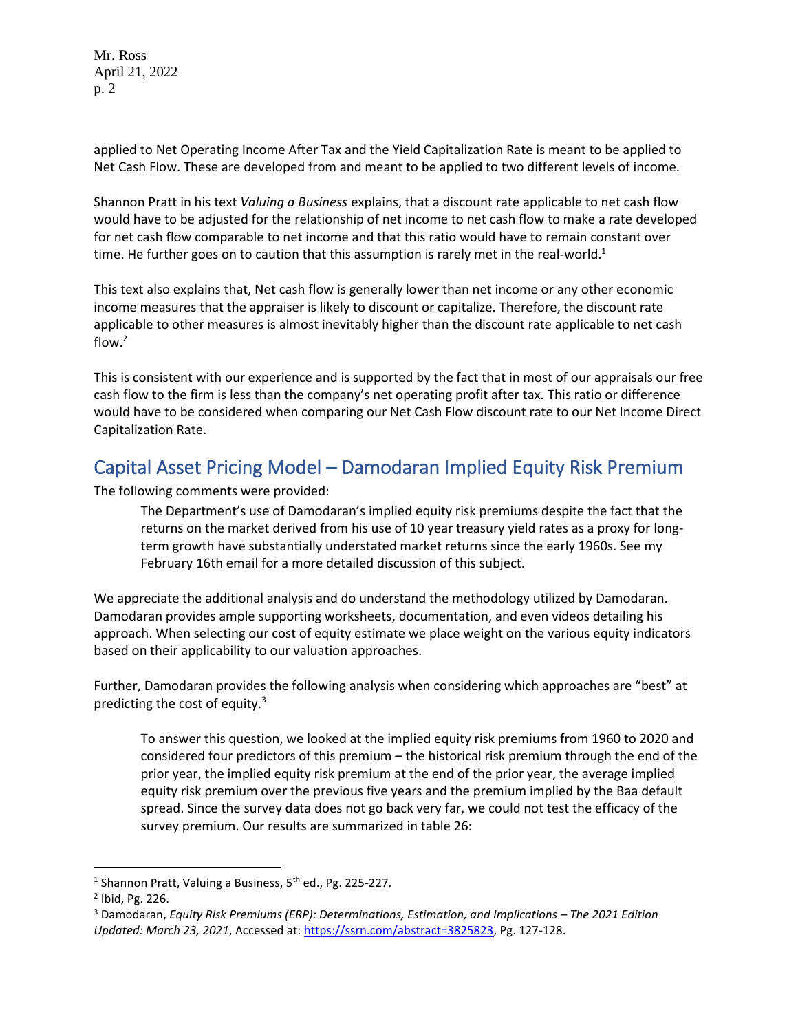Mr. Ross April 21, 2022 p. 2

applied to Net Operating Income After Tax and the Yield Capitalization Rate is meant to be applied to Net Cash Flow. These are developed from and meant to be applied to two different levels of income.

Shannon Pratt in his text *Valuing a Business* explains, that a discount rate applicable to net cash flow would have to be adjusted for the relationship of net income to net cash flow to make a rate developed for net cash flow comparable to net income and that this ratio would have to remain constant over time. He further goes on to caution that this assumption is rarely met in the real-world.<sup>1</sup>

This text also explains that, Net cash flow is generally lower than net income or any other economic income measures that the appraiser is likely to discount or capitalize. Therefore, the discount rate applicable to other measures is almost inevitably higher than the discount rate applicable to net cash flow. $2$ 

This is consistent with our experience and is supported by the fact that in most of our appraisals our free cash flow to the firm is less than the company's net operating profit after tax. This ratio or difference would have to be considered when comparing our Net Cash Flow discount rate to our Net Income Direct Capitalization Rate.

### Capital Asset Pricing Model – Damodaran Implied Equity Risk Premium

The following comments were provided:

The Department's use of Damodaran's implied equity risk premiums despite the fact that the returns on the market derived from his use of 10 year treasury yield rates as a proxy for longterm growth have substantially understated market returns since the early 1960s. See my February 16th email for a more detailed discussion of this subject.

We appreciate the additional analysis and do understand the methodology utilized by Damodaran. Damodaran provides ample supporting worksheets, documentation, and even videos detailing his approach. When selecting our cost of equity estimate we place weight on the various equity indicators based on their applicability to our valuation approaches.

Further, Damodaran provides the following analysis when considering which approaches are "best" at predicting the cost of equity. $3$ 

To answer this question, we looked at the implied equity risk premiums from 1960 to 2020 and considered four predictors of this premium – the historical risk premium through the end of the prior year, the implied equity risk premium at the end of the prior year, the average implied equity risk premium over the previous five years and the premium implied by the Baa default spread. Since the survey data does not go back very far, we could not test the efficacy of the survey premium. Our results are summarized in table 26:

<sup>&</sup>lt;sup>1</sup> Shannon Pratt, Valuing a Business, 5<sup>th</sup> ed., Pg. 225-227.

<sup>2</sup> Ibid, Pg. 226.

<sup>3</sup> Damodaran, *Equity Risk Premiums (ERP): Determinations, Estimation, and Implications – The 2021 Edition Updated: March 23, 2021*, Accessed at: [https://ssrn.com/abstract=3825823,](https://ssrn.com/abstract=3825823) Pg. 127-128.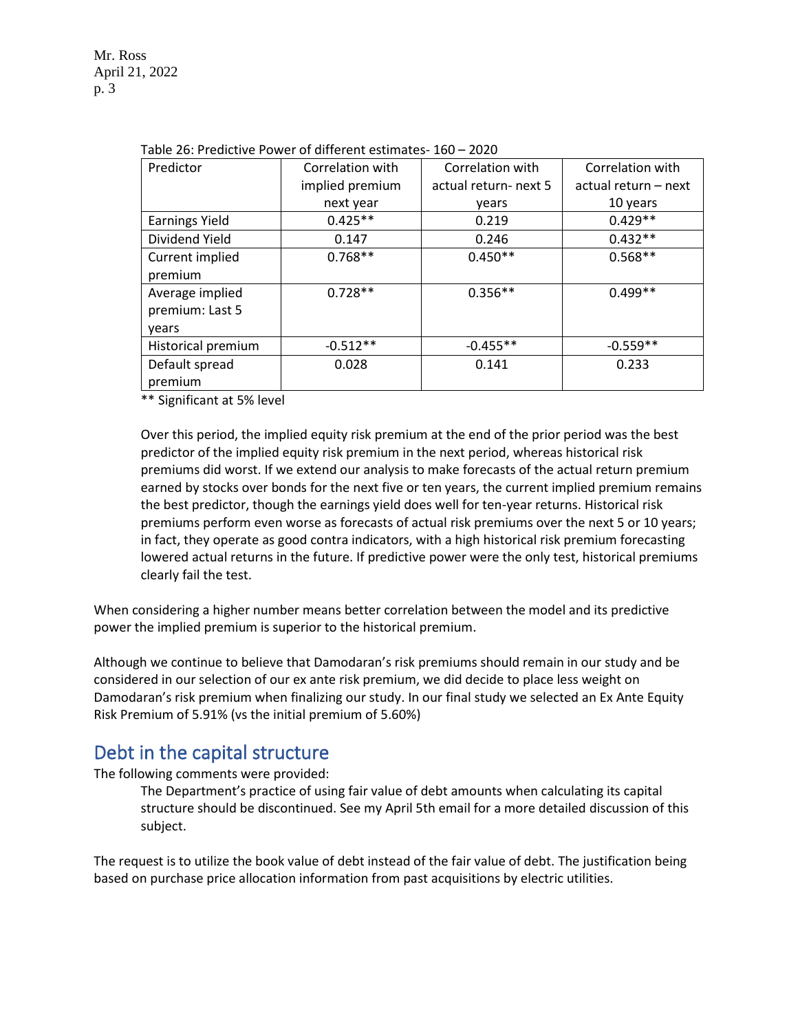| Predictor             | Correlation with | Correlation with      | Correlation with     |
|-----------------------|------------------|-----------------------|----------------------|
|                       | implied premium  | actual return- next 5 | actual return - next |
|                       | next year        | vears                 | 10 years             |
| <b>Earnings Yield</b> | $0.425**$        | 0.219                 | $0.429**$            |
| Dividend Yield        | 0.147            | 0.246                 | $0.432**$            |
| Current implied       | $0.768**$        | $0.450**$             | $0.568**$            |
| premium               |                  |                       |                      |
| Average implied       | $0.728**$        | $0.356**$             | $0.499**$            |
| premium: Last 5       |                  |                       |                      |
| vears                 |                  |                       |                      |
| Historical premium    | $-0.512**$       | $-0.455**$            | $-0.559**$           |
| Default spread        | 0.028            | 0.141                 | 0.233                |
| premium               |                  |                       |                      |

|  |  | Table 26: Predictive Power of different estimates-160 - 2020 |
|--|--|--------------------------------------------------------------|
|--|--|--------------------------------------------------------------|

\*\* Significant at 5% level

Over this period, the implied equity risk premium at the end of the prior period was the best predictor of the implied equity risk premium in the next period, whereas historical risk premiums did worst. If we extend our analysis to make forecasts of the actual return premium earned by stocks over bonds for the next five or ten years, the current implied premium remains the best predictor, though the earnings yield does well for ten-year returns. Historical risk premiums perform even worse as forecasts of actual risk premiums over the next 5 or 10 years; in fact, they operate as good contra indicators, with a high historical risk premium forecasting lowered actual returns in the future. If predictive power were the only test, historical premiums clearly fail the test.

When considering a higher number means better correlation between the model and its predictive power the implied premium is superior to the historical premium.

Although we continue to believe that Damodaran's risk premiums should remain in our study and be considered in our selection of our ex ante risk premium, we did decide to place less weight on Damodaran's risk premium when finalizing our study. In our final study we selected an Ex Ante Equity Risk Premium of 5.91% (vs the initial premium of 5.60%)

#### Debt in the capital structure

The following comments were provided:

The Department's practice of using fair value of debt amounts when calculating its capital structure should be discontinued. See my April 5th email for a more detailed discussion of this subject.

The request is to utilize the book value of debt instead of the fair value of debt. The justification being based on purchase price allocation information from past acquisitions by electric utilities.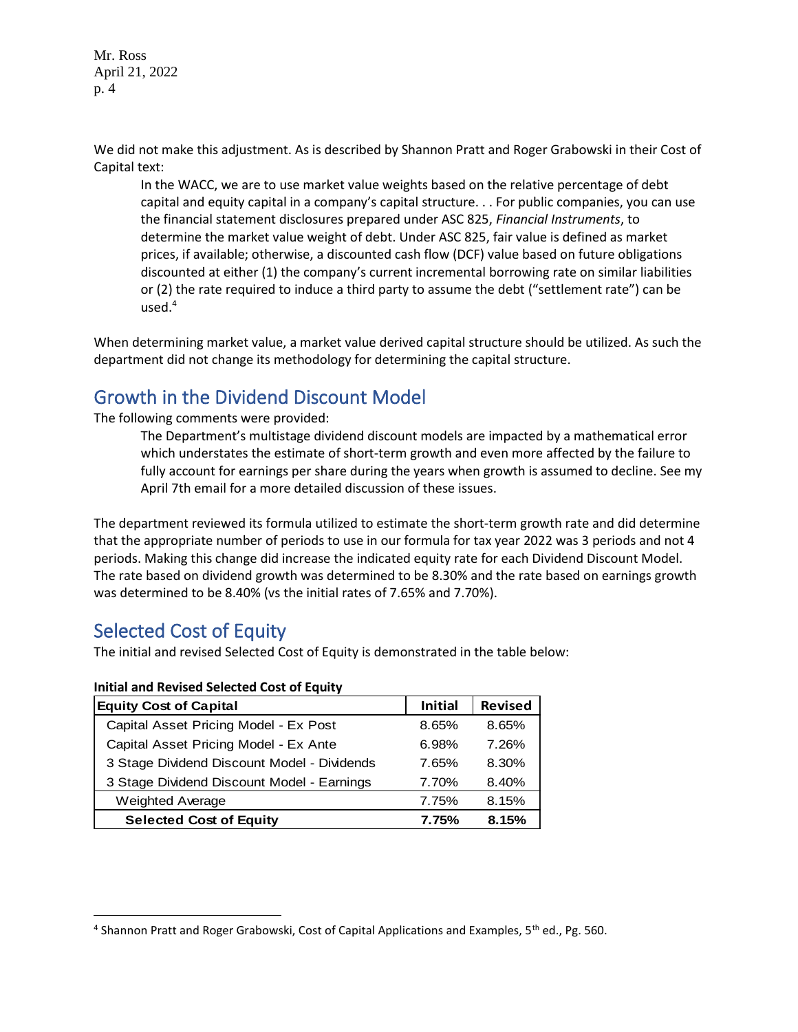Mr. Ross April 21, 2022 p. 4

We did not make this adjustment. As is described by Shannon Pratt and Roger Grabowski in their Cost of Capital text:

In the WACC, we are to use market value weights based on the relative percentage of debt capital and equity capital in a company's capital structure. . . For public companies, you can use the financial statement disclosures prepared under ASC 825, *Financial Instruments*, to determine the market value weight of debt. Under ASC 825, fair value is defined as market prices, if available; otherwise, a discounted cash flow (DCF) value based on future obligations discounted at either (1) the company's current incremental borrowing rate on similar liabilities or (2) the rate required to induce a third party to assume the debt ("settlement rate") can be used. $4$ 

When determining market value, a market value derived capital structure should be utilized. As such the department did not change its methodology for determining the capital structure.

# Growth in the Dividend Discount Model

The following comments were provided:

The Department's multistage dividend discount models are impacted by a mathematical error which understates the estimate of short-term growth and even more affected by the failure to fully account for earnings per share during the years when growth is assumed to decline. See my April 7th email for a more detailed discussion of these issues.

The department reviewed its formula utilized to estimate the short-term growth rate and did determine that the appropriate number of periods to use in our formula for tax year 2022 was 3 periods and not 4 periods. Making this change did increase the indicated equity rate for each Dividend Discount Model. The rate based on dividend growth was determined to be 8.30% and the rate based on earnings growth was determined to be 8.40% (vs the initial rates of 7.65% and 7.70%).

# Selected Cost of Equity

The initial and revised Selected Cost of Equity is demonstrated in the table below:

#### **Initial and Revised Selected Cost of Equity**

| <b>Equity Cost of Capital</b>               | <b>Initial</b> | <b>Revised</b> |
|---------------------------------------------|----------------|----------------|
| Capital Asset Pricing Model - Ex Post       | 8.65%          | 8.65%          |
| Capital Asset Pricing Model - Ex Ante       | 6.98%          | 7.26%          |
| 3 Stage Dividend Discount Model - Dividends | 7.65%          | 8.30%          |
| 3 Stage Dividend Discount Model - Earnings  | 7.70%          | 8.40%          |
| <b>Weighted Average</b>                     | 7.75%          | 8.15%          |
| <b>Selected Cost of Equity</b>              | 7.75%          | 8.15%          |

<sup>&</sup>lt;sup>4</sup> Shannon Pratt and Roger Grabowski, Cost of Capital Applications and Examples, 5<sup>th</sup> ed., Pg. 560.